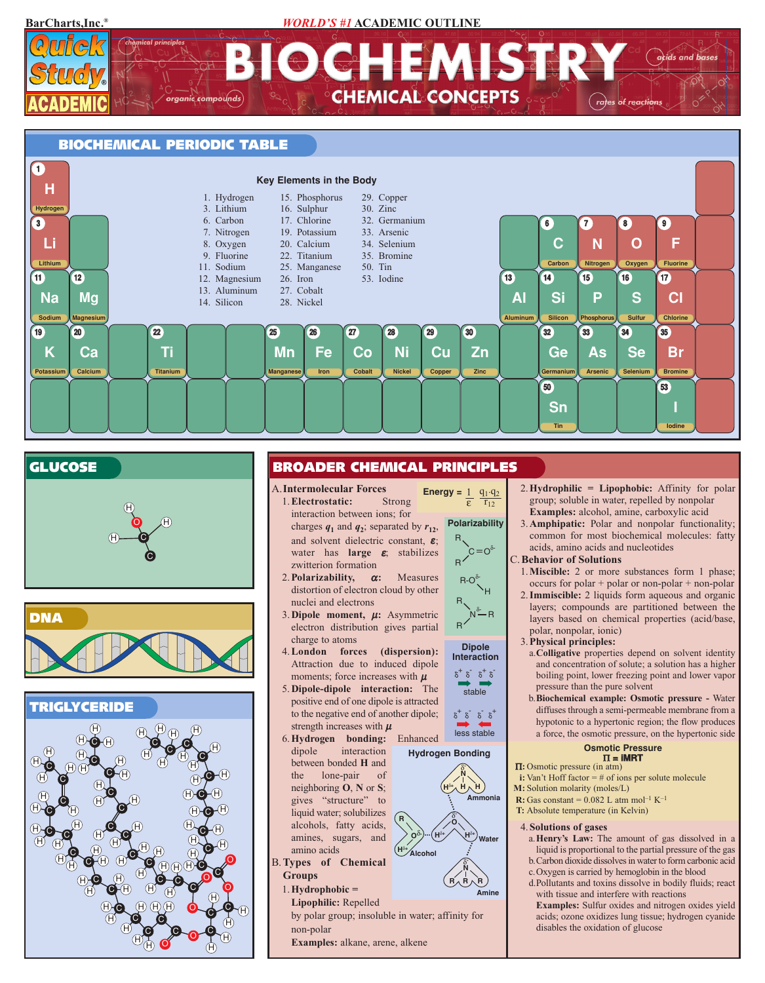**BarCharts,Inc.®** *WORLD'S #1* **ACADEMIC OUTLINE**











## **BROADER CHEMICAL PRINCIPLES**

- A.**Intermolecular Forces** 1.**Electrostatic:** Strong interaction between ions; for charges  $q_1$  and  $q_2$ ; separated by  $r_{12}$ , and solvent dielectric constant,  $\varepsilon$ ;  $\bullet$  **C**  $\bullet$  **C**  $\bullet$  **C**  $\bullet$  **C**  $\bullet$  **C**  $\bullet$  **C**  $\bullet$  **C**  $\bullet$  **C**  $\bullet$  **C**  $\bullet$  **C**  $\bullet$  **C**  $\bullet$  **C**  $\bullet$  **C**  $\bullet$  **C**  $\bullet$  **C**  $\bullet$  **C**  $\bullet$  **C**  $\bullet$  **C**  $\bullet$  **C**  $\bullet$  **C**  $\bullet$  **C**  $\bullet$  **C**  $\bullet$  **C**  $\bullet$  **C**  $\bullet$  zwitterion formation **Energy** =  $1 \quad q_1 \cdot q_2$ 
	- 2.**Polarizability,** <sup>α</sup>**:** Measures distortion of electron cloud by other nuclei and electrons
	- 3.**Dipole moment,** µ**:** Asymmetric electron distribution gives partial charge to atoms
	- 4.**London forces (dispersion):** Attraction due to induced dipole moments; force increases with  $\mu$
	- 5. **Dipole-dipole interaction:** The positive end of one dipole is attracted to the negative end of another dipole; strength increases with  $\mu$
	- 6.**Hydrogen bonding:** Enhanced dipole interaction between bonded **H** and the lone-pair of gives "structure" to liquid water; solubilizes alcohols, fatty acids, amines, sugars, and
	- amino acids B.**Types of Chemical Groups**
		- 1.**Hydrophobic =**
		- **Lipophilic:** Repelled

by polar group; insoluble in water; affinity for non-polar

**H**δ**<sup>+</sup>**

**R**

**Examples:** alkane, arene, alkene



stable  $\delta^+ \delta^- \delta^+ \delta^-$ **Dipole Interaction**



**Hydrogen Bonding**



**Amine**



- c.Oxygen is carried by hemoglobin in the blood d.Pollutants and toxins dissolve in bodily fluids; react
- with tissue and interfere with reactions **Examples:** Sulfur oxides and nitrogen oxides yield acids; ozone oxidizes lung tissue; hydrogen cyanide disables the oxidation of glucose
- 2.**Hydrophilic = Lipophobic:** Affinity for polar group; soluble in water, repelled by nonpolar **Examples:** alcohol, amine, carboxylic acid 3.**Amphipatic:** Polar and nonpolar functionality;
	- common for most biochemical molecules: fatty acids, amino acids and nucleotides

#### C.**Behavior of Solutions**

- 1.**Miscible:** 2 or more substances form 1 phase; occurs for polar + polar or non-polar + non-polar
- 2.**Immiscible:** 2 liquids form aqueous and organic layers; compounds are partitioned between the layers based on chemical properties (acid/base, polar, nonpolar, ionic)

#### 3.**Physical principles:**

- a.**Colligative** properties depend on solvent identity and concentration of solute; a solution has a higher boiling point, lower freezing point and lower vapor pressure than the pure solvent
- b.**Biochemical example: Osmotic pressure -** Water diffuses through a semi-permeable membrane from a hypotonic to a hypertonic region; the flow produces a force, the osmotic pressure, on the hypertonic side

## **Osmotic Pressure** Π **= iMRT**

- Π**:** Osmotic pressure (in atm)
- **i:** Van't Hoff factor = # of ions per solute molecule
- **M:** Solution molarity (moles/L) **R:** Gas constant =  $0.082$  L atm mol<sup>-1</sup> K<sup>-1</sup>
- **T:** Absolute temperature (in Kelvin)

#### 4.**Solutions of gases**

- a.**Henry's Law:** The amount of gas dissolved in a liquid is proportional to the partial pressure of the gas b.Carbon dioxide dissolves in water to form carbonic acid
	-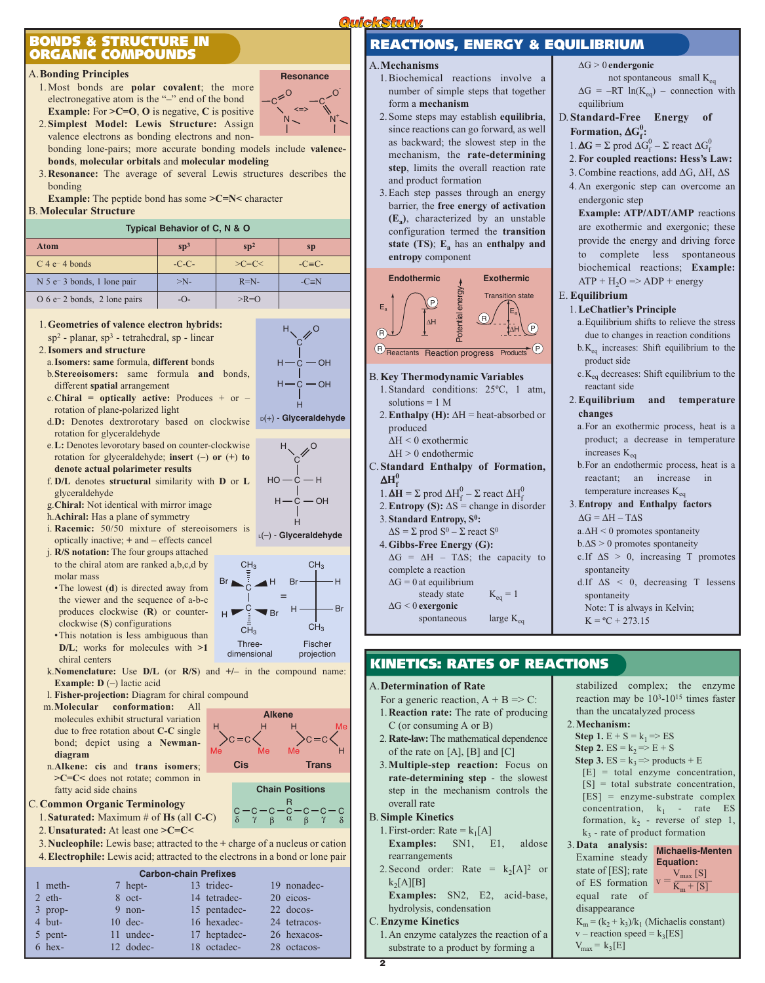## **BONDS & STRUCTURE IN ORGANIC COMPOUNDS**

#### A.**Bonding Principles**

1. Most bonds are **polar covalent**; the more electronegative atom is the "*–*" end of the bond **Example:** For **>C=O**, **O** is negative, **C** is positive 2.**Simplest Model: Lewis Structure:** Assign

 $2^{\circ}$ C N O-C  $N^+$ <=> **Resonance**

valence electrons as bonding electrons and nonbonding lone-pairs; more accurate bonding models include **valencebonds**, **molecular orbitals** and **molecular modeling**

3.**Resonance:** The average of several Lewis structures describes the bonding

**Example:** The peptide bond has some **>C=N<** character B.**Molecular Structure**

#### **Typical Behavior of C, N & O**

| Atom                                                   | $\mathbf{sp}^3$ | sp <sup>2</sup> | <b>sp</b>     |
|--------------------------------------------------------|-----------------|-----------------|---------------|
| $C$ 4 e <sup><math>-</math></sup> 4 bonds              | $-C-C$ -        | $>C=C<$         | $-C \equiv C$ |
| $N$ 5 e <sup><math>-</math></sup> 3 bonds, 1 lone pair | $>N-$           | $R=N-$          | $-C \equiv N$ |
| $O 6 e^- 2$ bonds, 2 lone pairs                        | $ O-$           | $>$ R=O         |               |

1.**Geometries of valence electron hybrids:**

- sp<sup>2</sup> planar, sp<sup>3</sup> tetrahedral, sp linear 2.**Isomers and structure**
- a.**Isomers: same** formula, **different** bonds
- b.**Stereoisomers:** same formula **and** bonds, different **spatial** arrangement
- c.**Chiral = optically active:** Produces + or rotation of plane-polarized light
- d.**D:** Denotes dextrorotary based on clockwise rotation for glyceraldehyde
- e.**L:** Denotes levorotary based on counter-clockwise rotation for glyceraldehyde; **insert** (**–**) **or** (**+**) **to denote actual polarimeter results**
- f. **D/L** denotes **structural** similarity with **D** or **L** glyceraldehyde
- g.**Chiral:** Not identical with mirror image
- h.**Achiral:** Has a plane of symmetry
- i. **Racemic:** 50/50 mixture of stereoisomers is optically inactive; **+** and **–** effects cancel
- j. **R/S notation:** The four groups attached to the chiral atom are ranked a,b,c,d by molar mass
- •The lowest (**d**) is directed away from the viewer and the sequence of a-b-c produces clockwise (**R**) or counterclockwise (**S**) configurations •This notation is less ambiguous than
- **D/L**; works for molecules with **>1** chiral centers
- k.**Nomenclature:** Use **D/L** (or **R/S**) and **+/–** in the compound name: **Example: D** (**–**) lactic acid

H Me

- l. **Fisher-projection:** Diagram for chiral compound
- m.**Molecular conformation:** All molecules exhibit structural variation due to free rotation about **C-C** single bond; depict using a **Newmandiagram**
- n.**Alkene: cis** and **trans isomers**; **>C=C<** does not rotate; common in fatty acid side chains
- C.**Common Organic Terminology**
	- 1.**Saturated:** Maximum # of **Hs** (all **C-C**)
	- 2.**Unsaturated:** At least one **>C=C<**
	- 3.**Nucleophile:** Lewis base; attracted to the **+** charge of a nucleus or cation
	- 4.**Electrophile:** Lewis acid; attracted to the electrons in a bond or lone pair

## **Carbon-chain Prefixes**

|           | <b>UGINUIFCHAILLE IGHAGS</b> |              |              |
|-----------|------------------------------|--------------|--------------|
| 1 meth-   | 7 hept-                      | 13 tridec-   | 19 nonadec-  |
| $2$ eth-  | $8$ oct-                     | 14 tetradec- | 20 eicos-    |
| $3$ prop- | $9$ non-                     | 15 pentadec- | 22 docos-    |
| $4$ but-  | $10 \text{ dec-}$            | 16 hexadec-  | 24 tetracos- |
| 5 pent-   | 11 undec-                    | 17 heptadec- | 26 hexacos-  |
| $6$ hex-  | 12 dodec-                    | 18 octadec-  | 28 octacos-  |



#### A.**Mechanisms**

**QuickStudy** 

- 1. Biochemical reactions involve a number of simple steps that together form a **mechanism**
- 2. Some steps may establish **equilibria**, since reactions can go forward, as well as backward; the slowest step in the mechanism, the **rate-determining step**, limits the overall reaction rate and product formation
- 3. Each step passes through an energy barrier, the **free energy of activation (Ea)**, characterized by an unstable configuration termed the **transition state** (TS);  $E_a$  has an **enthalpy and entropy** component



#### B.**Key Thermodynamic Variables**

- 1. Standard conditions: 25ºC, 1 atm, solutions = 1 M
- 2.**Enthalpy (H):** ∆H = heat-absorbed or produced ∆H < 0 exothermic
	- ∆H > 0 endothermic
- C.**Standard Enthalpy of Formation,**  $\Delta H_{f}^{0}$ 
	- 1.  $\mathbf{\Delta H} = \Sigma$  prod  $\Delta H_f^0 \Sigma$  react  $\Delta H_f^0$ 2. **Entropy (S):**  $\Delta S$  = change in disorder
	- 3. **Standard Entropy, S0:**  $\Delta S = \Sigma$  prod  $S^0 - \Sigma$  react  $S^0$
	- 4.**Gibbs-Free Energy (G):**
	- $\Delta G = \Delta H T \Delta S$ ; the capacity to complete a reaction  $\Delta G = 0$  at equilibrium

steady state  $K_{eq} = 1$ ∆G < 0 **exergonic**

spontaneous  $\qquad$  large  $K_{eq}$ 

## **KINETICS: RATES OF REACTIONS**

A.**Determination of Rate**

- For a generic reaction,  $A + B \Rightarrow C$ : 1.**Reaction rate:** The rate of producing C (or consuming A or B)
- 2. **Rate-law:**The mathematical dependence of the rate on [A], [B] and [C]
- 3.**Multiple-step reaction:** Focus on **rate-determining step** - the slowest step in the mechanism controls the overall rate

### B. **Simple Kinetics**

- 1. First-order: Rate =  $k_1[A]$ **Examples:** SN1, E1, aldose rearrangements
- 2. Second order: Rate =  $k_2[A]^2$  or  $k_2[A][B]$
- **Examples:** SN2, E2, acid-base, hydrolysis, condensation

#### C.**Enzyme Kinetics**

1. An enzyme catalyzes the reaction of a substrate to a product by forming a

- stabilized complex; the enzyme reaction may be  $10^{3}$ - $10^{15}$  times faster than the uncatalyzed process 2.**Mechanism: Step 1.**  $E + S = k_1 \Rightarrow ES$ **Step 2.** ES =  $k_2$  => E + S **Step 3.** ES =  $k_3$  => products + E [E] = total enzyme concentration,  $[S] = total$  substrate concentration. [ES] = enzyme-substrate complex concentration,  $k_1$  - rate ES formation,  $k_2$  - reverse of step 1,
- $k<sub>3</sub>$  rate of product formation 3.**Data analysis: Michaelis-Menten** Examine steady **Equation:**state of [ES]; rate state of [ES]; rate<br>of ES formation  $v = \frac{V_{\text{max}}[S]}{K_{\text{m}} + [S]}$ equal rate of disappearance  $K_m = (k_2 + k_3)/k_1$  (Michaelis constant)  $v$  – reaction speed =  $k_3[ES]$  $V_{max} = k_3[E]$



H、 *,*O



 $Br -$ 

 $\frac{1}{C}$   $\blacktriangle$  H Br  $\longleftarrow$  H

H

C — C — C — C — C — C — C<br>δ Υ β α β Υ δ R **Chain Positions**

Fischer projection

Me H

**Trans**  $c = c$ 

Me

CH<sub>3</sub>

 $H \longrightarrow Br$ 



- ∆G > 0 **endergonic**
- not spontaneous small  $K_{eq}$  $\Delta G = -RT \ln(K_{eq})$  – connection with equilibrium

## D.**Standard-Free Energy of**

- **Formation,**  $\Delta G_f^0$ : 1. **ΔG** = Σ prod  $\Delta G_f^0$  – Σ react  $\Delta G_f^0$
- 2.**For coupled reactions: Hess's Law:**
- 3. Combine reactions, add ∆G, ∆H, ∆S

### 4. An exergonic step can overcome an endergonic step

**Example: ATP/ADT/AMP** reactions are exothermic and exergonic; these provide the energy and driving force to complete less spontaneous biochemical reactions; **Example:**  $ATP + H<sub>2</sub>O \Rightarrow ADP + energy$ 

#### E. **Equilibrium**

### 1.**LeChatlier's Principle**

- a.Equilibrium shifts to relieve the stress due to changes in reaction conditions
- b.Keq increases: Shift equilibrium to the product side
- $c.K_{eq}$  decreases: Shift equilibrium to the reactant side

#### 2.**Equilibrium and temperature changes**

- a.For an exothermic process, heat is a product; a decrease in temperature increases  $\rm K_{eq}$
- b.For an endothermic process, heat is a reactant; an increase in temperature increases  $\rm K_{eq}$

## 3.**Entropy and Enthalpy factors**  $\Delta G = \Delta H - T \Delta S$

- a.∆H < 0 promotes spontaneity b.∆S > 0 promotes spontaneity
- c.If  $\Delta S > 0$ , increasing T promotes
- spontaneity
- d.If ∆S < 0, decreasing T lessens spontaneity

Note: T is always in Kelvin;  $K = {}^{o}C + 273.15$ 

L(–) - **Glyceraldehyde**

 $\blacktriangledown_{\text{Br}}$ 

H =

Threedimensional

C

C **Cis**

H Me

**Alkene**

 $CH<sub>2</sub>$ 

C

 $CH<sub>2</sub>$ 

Br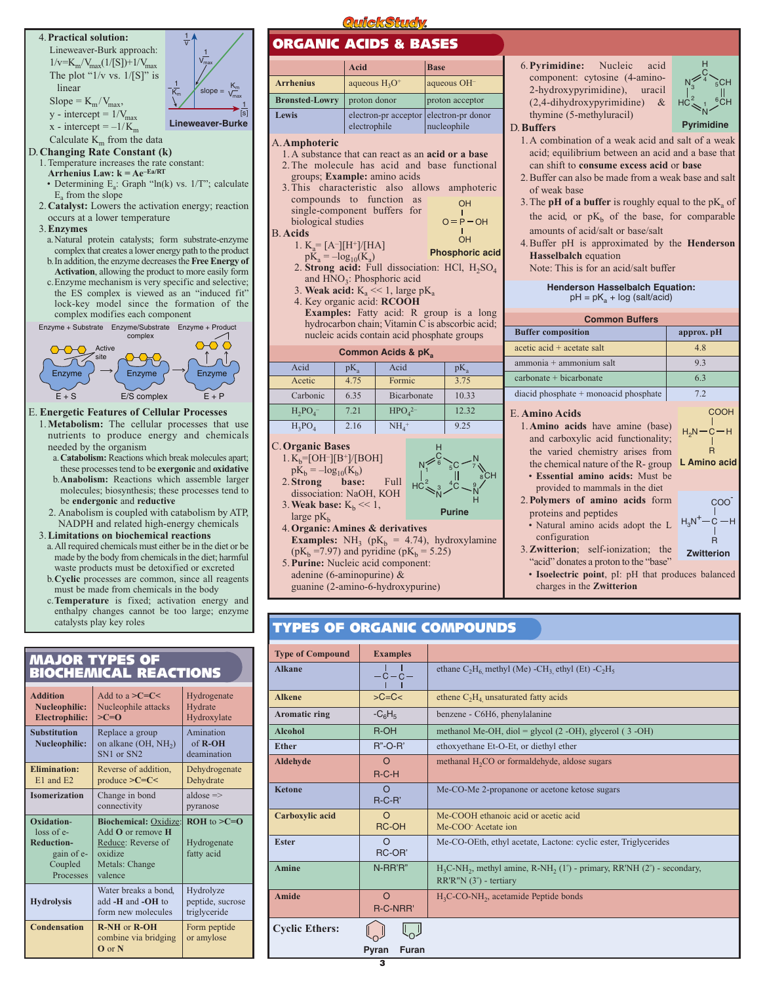

**Oxidation- Biochemical:** <u>Oxidize:</u> **ROH** to >**C=O**<br>loss of e-<br>Add **O** or remove **H** 

gain of e- oxidize fatty acid

**Hydrolysis** add **-H** and **-OH** to peptide, such that peptide and **-OH** to trigly eeride form new molecules **Condensation R-NH** or **R-OH** Form peptide

Reduce: Reverse of Hydrogenate

Water breaks a bond, Hydrolyze<br>add -**H** and -**OH** to peptide, sucrose

combine via bridging  $\vert$  or amylose

**Reduction-** Add **O** or remove **H**<br>Reduction-<br>Reduce: Reverse of

Coupled Metals: Change<br>Processes valence

**O** or **N**

Processes

# **ORGANIC ACIDS & BASES**

|                       | <b>Acid</b>                                            | <b>Base</b>     |
|-----------------------|--------------------------------------------------------|-----------------|
| <b>Arrhenius</b>      | aqueous $H_3O^+$                                       | aqueous OH-     |
| <b>Brønsted-Lowry</b> | proton donor                                           | proton acceptor |
| Lewis                 | electron-pr acceptor electron-pr donor<br>electrophile | nucleophile     |
|                       |                                                        |                 |

#### A.**Amphoteric**

- 1. A substance that can react as an **acid or a base**
- 2. The molecule has acid and base functional groups; **Example:** amino acids
- 3. This characteristic also allows amphoteric compounds to function as single-component buffers for biological studies  $O = P - OH$ OH

B. **Acids**

- 1.  $K_a = [A^-][H^+]/[HA]$ **Phosphoric acid**
- $pK_a = -log_{10}(K_a)$ 2. **Strong acid:** Full dissociation: HCl, H<sub>2</sub>SO<sub>4</sub> and  $HNO<sub>3</sub>$ : Phosphoric acid

OH

- 3. **Weak acid:**  $K_a \ll 1$ , large p $K_a$
- 4. Key organic acid: **RCOOH**
- **Examples:** Fatty acid: R group is a long hydrocarbon chain; Vitamin C is abscorbic acid; nucleic acids contain acid phosphate groups

#### **Common Acids & pKa** Acid  $\big| pK_a \big|$  Acid  $\big| pK_a$ Acetic 4.75 Formic 3.75 Carbonic  $\begin{array}{|c|c|c|c|c|} \hline 6.35 & Bicarbonate & 10.33 \\ \hline \end{array}$  $H_2PO_4$ 7.21  $HPO<sub>4</sub><sup>2</sup>$ 2– 12.32  $H_3PO_4$  | 2.16 | NH<sub>4</sub> <sup>+</sup> 9.25

H C

6

 $N \leq 6 \leq C \leq N$ 

 $\frac{1}{\sqrt{2}}$   $\frac{1}{\sqrt{2}}$   $\frac{1}{\sqrt{2}}$   $\frac{1}{\sqrt{2}}$   $\frac{1}{\sqrt{2}}$   $\frac{1}{\sqrt{2}}$   $\frac{1}{\sqrt{2}}$   $\frac{1}{\sqrt{2}}$ 

 $3^{4}C - 8$ 

**Purine**

 $5^\circ$  7 8

> N H

N C

HC

2

#### C.**Organic Bases**

- $1. K_b = [OH^-][B^+]/[BOH]$
- $pK_b = -log_{10}(K_b)$ <br>Strong base: 2.**Strong base:** Full
- dissociation: NaOH, KOH

3. Weak base:  $K_b \ll 1$ ,

- large  $pK_b$
- 4.**Organic: Amines & derivatives**
- **Examples:** NH<sub>3</sub> ( $pK_b$  = 4.74), hydroxylamine ( $pK_b = 7.97$ ) and pyridine ( $pK_b = 5.25$ )
- 5.**Purine:** Nucleic acid component: adenine (6-aminopurine) &
	- guanine (2-amino-6-hydroxypurine)

#### 6.**Pyrimidine:** Nucleic acid component: cytosine (4-amino-2-hydroxypyrimidine), uracil (2,4-dihydroxypyrimidine) & thymine (5-methyluracil)

#### D.**Buffers**

- 1. A combination of a weak acid and salt of a weak acid; equilibrium between an acid and a base that can shift to **consume excess acid** or **base**
- 2. Buffer can also be made from a weak base and salt of weak base
- 3. The **pH** of a buffer is roughly equal to the  $pK_a$  of the acid, or  $pK_b$  of the base, for comparable amounts of acid/salt or base/salt
- 4. Buffer pH is approximated by the **Henderson Hasselbalch** equation Note: This is for an acid/salt buffer

#### **Henderson Hasselbalch Equation:**  $pH = pK_a + log (salt/acid)$

| <b>Common Buffers</b>                                                                    |                    |  |  |  |  |  |
|------------------------------------------------------------------------------------------|--------------------|--|--|--|--|--|
| <b>Buffer composition</b>                                                                | approx. pH         |  |  |  |  |  |
| $\alpha$ acetic $\alpha$ acid + $\alpha$ acetate salt                                    | 4.8                |  |  |  |  |  |
| ammonia + ammonium salt                                                                  | 9.3                |  |  |  |  |  |
| $carbonate + bicarbonate$                                                                | 6.3                |  |  |  |  |  |
| diacid phosphate + monoacid phosphate                                                    | 7.2                |  |  |  |  |  |
| E. Amino Acids<br>1. Amino acids have amine (base)<br>and carboxylic acid functionality; | COOH<br>$H_2N-C-H$ |  |  |  |  |  |

- the varied chemistry arises from the chemical nature of the R- group **L Amino acid** • **Essential amino acids:** Must be
- provided to mammals in the diet
- 2.**Polymers of amino acids** form proteins and peptides н $_{3}$ n $^{+}$ — $\dot{\mathrm{c}}$  —н
- Natural amino acids adopt the L configuration
- 3.**Zwitterion**; self-ionization; the "acid" donates a proton to the "base" **Zwitterion**
	- **Isoelectric point**, pI: pH that produces balanced charges in the **Zwitterion**

| <b>Type of Compound</b> | <b>Examples</b>              |                                                                                                                                                       |
|-------------------------|------------------------------|-------------------------------------------------------------------------------------------------------------------------------------------------------|
| <b>Alkane</b>           | $-c-c-$                      | ethane $C_2H_6$ methyl (Me) -CH <sub>3</sub> ethyl (Et) -C <sub>2</sub> H <sub>5</sub>                                                                |
| <b>Alkene</b>           | $>C=C<$                      | ethene $C_2H_4$ unsaturated fatty acids                                                                                                               |
| Aromatic ring           | $-C6H5$                      | benzene - C6H6, phenylalanine                                                                                                                         |
| <b>Alcohol</b>          | R-OH                         | methanol Me-OH, diol = glycol $(2 - OH)$ , glycerol $(3 - OH)$                                                                                        |
| <b>Ether</b>            | $R$ "-O-R'                   | ethoxyethane Et-O-Et, or diethyl ether                                                                                                                |
| Aldehyde                | $\Omega$<br>$R-C-H$          | methanal H <sub>2</sub> CO or formaldehyde, aldose sugars                                                                                             |
| <b>Ketone</b>           | $\Omega$<br>$R-C-R'$         | Me-CO-Me 2-propanone or acetone ketose sugars                                                                                                         |
| Carboxylic acid         | $\Omega$<br>RC-OH            | Me-COOH ethanoic acid or acetic acid<br>Me-COO Acetate ion                                                                                            |
| <b>Ester</b>            | $\circ$<br>RC-OR'            | Me-CO-OEth, ethyl acetate, Lactone: cyclic ester, Triglycerides                                                                                       |
| <b>Amine</b>            | N-RR'R"                      | $H_3C$ -NH <sub>2</sub> , methyl amine, R-NH <sub>2</sub> (1 <sup>°</sup> ) - primary, RR'NH (2 <sup>°</sup> ) - secondary,<br>RR'R"N (3°) - tertiary |
| <b>Amide</b>            | $\Omega$<br><b>R-C-NRR'</b>  | $H_3C$ -CO-NH <sub>2</sub> , acetamide Peptide bonds                                                                                                  |
| <b>Cyclic Ethers:</b>   |                              |                                                                                                                                                       |
|                         | <b>Furan</b><br><b>Pyran</b> |                                                                                                                                                       |

## **TYPES OF ORGANIC COMPOUNDS**

**3**



H C

 $N_{2}^{\sim}$   $^{4}$   $^{5}$ CH

5  $1\frac{6}{5}$ 4

N CH

**Pyrimidine**

HC 3 2

R

COO<sup>-</sup>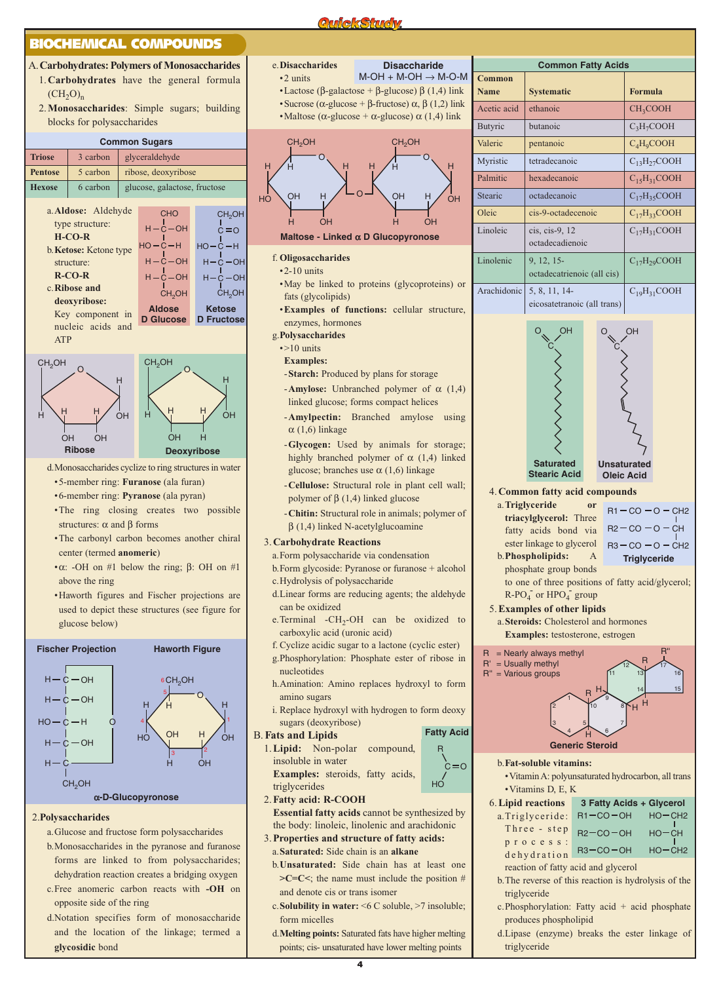#### **BIOCHEMICAL COMPOUNDS**

- A.**Carbohydrates: Polymers of Monosaccharides**
	- 1.**Carbohydrates** have the general formula  $(CH<sub>2</sub>O)<sub>n</sub>$
	- 2.**Monosaccharides**: Simple sugars; building blocks for polysaccharides

#### **Common Sugars**







- d.Monosaccharides cyclize to ring structures in water
- •5-member ring: **Furanose** (ala furan)
- •6-member ring: **Pyranose** (ala pyran)
- •The ring closing creates two possible structures:  $\alpha$  and  $\beta$  forms
- •The carbonyl carbon becomes another chiral center (termed **anomeric**)
- α: -OH on #1 below the ring;  $β$ : OH on #1 above the ring
- •Haworth figures and Fischer projections are used to depict these structures (see figure for glucose below)



- 2.**Polysaccharides**
	- a.Glucose and fructose form polysaccharides b.Monosaccharides in the pyranose and furanose forms are linked to from polysaccharides; dehydration reaction creates a bridging oxygen
	- c.Free anomeric carbon reacts with **-OH** on opposite side of the ring
	- d.Notation specifies form of monosaccharide and the location of the linkage; termed a **glycosidic** bond
- e.**Disaccharides** •2 units
	- $M$ -OH + M-OH  $\rightarrow$  M-O-M

•Lactose (β-galactose + β-glucose) β (1,4) link • Sucrose ( $\alpha$ -glucose + β-fructose)  $\alpha$ ,  $\beta$  (1,2) link •Maltose ( $\alpha$ -glucose +  $\alpha$ -glucose)  $\alpha$  (1,4) link

**QuickSturdw** 



**Maltose - Linked** α **D Glucopyronose**

#### f. **Oligosaccharides**

- •2-10 units
- •May be linked to proteins (glycoproteins) or fats (glycolipids)
- •**Examples of functions:** cellular structure, enzymes, hormones
- g.**Polysaccharides**
	- •>10 units
	- **Examples:**
	- -**Starch:** Produced by plans for storage
	- -**Amylose:** Unbranched polymer of α (1,4) linked glucose; forms compact helices
	- -**Amylpectin:** Branched amylose using  $\alpha$  (1,6) linkage
	- -**Glycogen:** Used by animals for storage; highly branched polymer of  $\alpha$  (1,4) linked glucose; branches use  $\alpha$  (1,6) linkage
	- -**Cellulose:** Structural role in plant cell wall; polymer of  $β$  (1,4) linked glucose
	- -**Chitin:** Structural role in animals; polymer of  $β(1,4)$  linked N-acetylglucoamine

#### 3.**Carbohydrate Reactions**

- a.Form polysaccharide via condensation
- b.Form glycoside: Pyranose or furanose + alcohol
- c.Hydrolysis of polysaccharide
- d.Linear forms are reducing agents; the aldehyde can be oxidized
- e.Terminal  $-CH_2-OH$  can be oxidized to carboxylic acid (uronic acid)
- f. Cyclize acidic sugar to a lactone (cyclic ester)
- g.Phosphorylation: Phosphate ester of ribose in nucleotides
- h.Amination: Amino replaces hydroxyl to form amino sugars
- i. Replace hydroxyl with hydrogen to form deoxy sugars (deoxyribose) **Fatty Acid**

 $C = O$ 

R

#### B. **Fats and Lipids**

- 1.**Lipid:** Non-polar compound, insoluble in water **Examples:** steroids, fatty acids, triglycerides  $H\overrightarrow{C}$
- 2.**Fatty acid: R-COOH**
- **Essential fatty acids** cannot be synthesized by the body: linoleic, linolenic and arachidonic
- 3.**Properties and structure of fatty acids:** a.**Saturated:** Side chain is an **alkane**
	- b.**Unsaturated:** Side chain has at least one  $\geq$ **C**=**C** $\leq$ ; the name must include the position # and denote cis or trans isomer
	- c.**Solubility in water:** <6 C soluble, >7 insoluble; form micelles
	- d.**Melting points:** Saturated fats have higher melting points; cis- unsaturated have lower melting points

| <b>Common Fatty Acids</b>                                                         |                                                                           |                      |                                         |                    |                                |  |
|-----------------------------------------------------------------------------------|---------------------------------------------------------------------------|----------------------|-----------------------------------------|--------------------|--------------------------------|--|
| <b>Common</b><br><b>Name</b>                                                      | <b>Systematic</b>                                                         |                      |                                         | <b>Formula</b>     |                                |  |
| Acetic acid                                                                       | ethanoic                                                                  | CH <sub>3</sub> COOH |                                         |                    |                                |  |
| Butyric                                                                           | butanoic                                                                  | $C_3H_7COOH$         |                                         |                    |                                |  |
| Valeric                                                                           | pentanoic                                                                 |                      |                                         |                    | $C_4H_9COOH$                   |  |
| Myristic                                                                          | tetradecanoic                                                             |                      |                                         | $C_{13}H_{27}COOH$ |                                |  |
| Palmitic                                                                          | hexadecanoic                                                              |                      |                                         | $C_{15}H_{31}COOH$ |                                |  |
| Stearic                                                                           | octadecanoic                                                              |                      |                                         |                    | $C_{17}H_{35}COOH$             |  |
| Oleic                                                                             | cis-9-octadecenoic                                                        |                      |                                         | $C_{17}H_{33}COOH$ |                                |  |
| Linoleic                                                                          | cis, cis-9, 12<br>octadecadienoic                                         |                      |                                         |                    | $C_{17}H_{31}COOH$             |  |
| Linolenic                                                                         | 9, 12, 15-<br>octadecatrienoic (all cis)                                  |                      |                                         |                    | $C_{17}H_{29}COOH$             |  |
| Arachidonic                                                                       | 5, 8, 11, 14-<br>eicosatetranoic (all trans)                              |                      |                                         |                    | $C_{19}H_{31}COOH$             |  |
|                                                                                   | <b>Saturated</b><br><b>Stearic Acid</b><br>4. Common fatty acid compounds |                      | <b>Unsaturated</b><br><b>Oleic Acid</b> |                    |                                |  |
| a. Triglyceride<br><sub>or</sub><br>$R1 - CO - O - CH2$<br>triacylglycerol: Three |                                                                           |                      |                                         |                    |                                |  |
| $R2 - CO - O - CH$<br>fatty acids bond via                                        |                                                                           |                      |                                         |                    |                                |  |
| ester linkage to glycerol<br>$R3 - CO - O - CH2$                                  |                                                                           |                      |                                         |                    |                                |  |
| b. Phospholipids:<br><b>Triglyceride</b><br>phosphate group bonds                 |                                                                           |                      |                                         |                    |                                |  |
| to one of three positions of fatty acid/glycerol;<br>$R-PO4$ or $HPO4$ group      |                                                                           |                      |                                         |                    |                                |  |
| 5. Examples of other lipids                                                       |                                                                           |                      |                                         |                    |                                |  |
|                                                                                   | a. Steroids: Cholesterol and hormones                                     |                      |                                         |                    |                                |  |
| R.                                                                                | <b>Examples:</b> testosterone, estrogen<br>= Nearly always methyl         |                      |                                         | R                  | $R$ "                          |  |
| R'<br>R"                                                                          | = Usually methyl<br>= Various groups                                      |                      | 11                                      | 13                 | 16                             |  |
|                                                                                   |                                                                           | R                    |                                         | 14                 | 15                             |  |
|                                                                                   | $\overline{2}$                                                            | 10                   |                                         | н<br>н             |                                |  |
|                                                                                   |                                                                           | н                    |                                         |                    |                                |  |
|                                                                                   | <b>Generic Steroid</b>                                                    |                      |                                         |                    |                                |  |
|                                                                                   | <b>b.Fat-soluble vitamins:</b>                                            |                      |                                         |                    |                                |  |
| · Vitamin A: polyunsaturated hydrocarbon, all trans                               |                                                                           |                      |                                         |                    |                                |  |
|                                                                                   | • Vitamins D, E, K<br>6. Lipid reactions                                  |                      |                                         |                    | 3 Fatty Acids + Glycerol       |  |
|                                                                                   | a.Triglyceride:<br>Three - step                                           |                      | $R1 - CO - OH$<br>$R2 - CO - OH$        |                    | $HO - CH2$<br><b>CH</b><br>HO· |  |
|                                                                                   | process:                                                                  |                      | $R3 - CO - OH$                          |                    | $HO - CH2$                     |  |
| dehydration<br>reaction of fatty acid and glycerol                                |                                                                           |                      |                                         |                    |                                |  |
| b. The reverse of this reaction is hydrolysis of the<br>triglyceride              |                                                                           |                      |                                         |                    |                                |  |

- $c$ . Phosphorylation: Fatty acid + acid phosphate produces phospholipid
- d.Lipase (enzyme) breaks the ester linkage of triglyceride

**Disaccharide**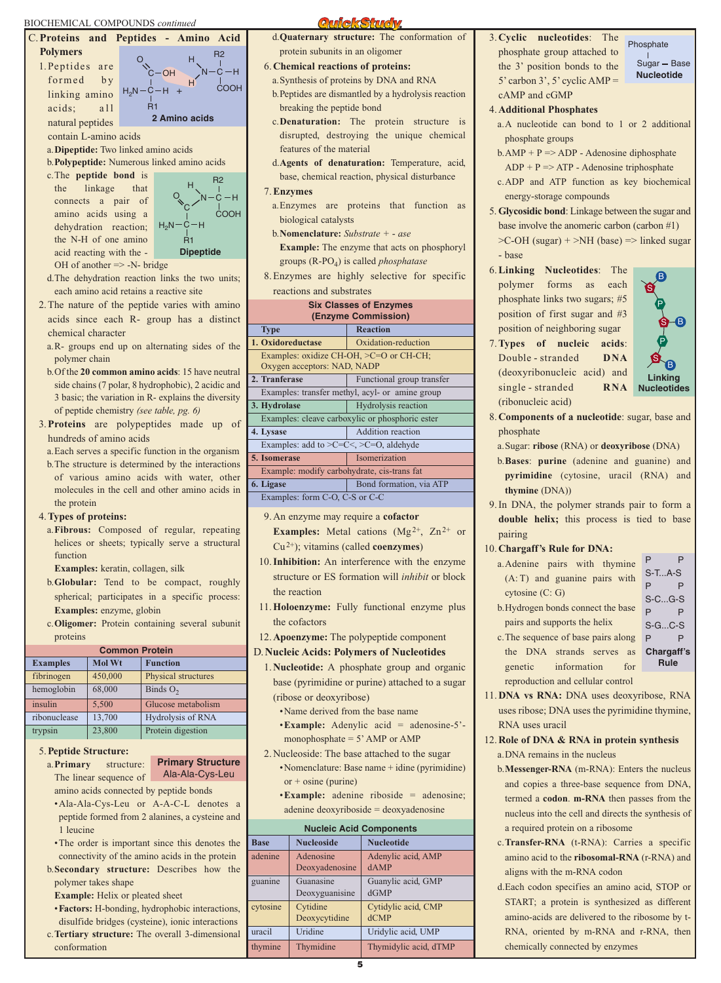#### BIOCHEMICAL COMPOUNDS *continued*



- •**Factors:** H-bonding, hydrophobic interactions,
- disulfide bridges (cysteine), ionic interactions c.**Tertiary structure:** The overall 3-dimensional
- conformation

#### **QuickStucw**

- d.**Quaternary structure:** The conformation of protein subunits in an oligomer
- 6.**Chemical reactions of proteins:**
- a.Synthesis of proteins by DNA and RNA
- b.Peptides are dismantled by a hydrolysis reaction breaking the peptide bond
- c.**Denaturation:** The protein structure is disrupted, destroying the unique chemical features of the material
- d.**Agents of denaturation:** Temperature, acid, base, chemical reaction, physical disturbance
- 7.**Enzymes**
- a.Enzymes are proteins that function as biological catalysts
- b.**Nomenclature:** *Substrate + ase* **Example:** The enzyme that acts on phosphoryl groups (R-PO4) is called *phosphatase*
- 8. Enzymes are highly selective for specific reactions and substrates

| <b>Six Classes of Enzymes</b><br>(Enzyme Commission)                   |                           |  |  |  |
|------------------------------------------------------------------------|---------------------------|--|--|--|
| <b>Type</b>                                                            | <b>Reaction</b>           |  |  |  |
| 1. Oxidoreductase                                                      | Oxidation-reduction       |  |  |  |
| Examples: oxidize CH-OH, >C=O or CH-CH;<br>Oxygen acceptors: NAD, NADP |                           |  |  |  |
| 2. Tranferase                                                          | Functional group transfer |  |  |  |
| Examples: transfer methyl, acyl- or amine group                        |                           |  |  |  |
| Hydrolysis reaction<br>3. Hydrolase                                    |                           |  |  |  |
| Examples: cleave carboxylic or phosphoric ester                        |                           |  |  |  |
| 4. Lysase                                                              | Addition reaction         |  |  |  |
| Examples: add to $\geq C=C \leq$ , $\geq C=O$ , aldehyde               |                           |  |  |  |
| 5. Isomerase                                                           | Isomerization             |  |  |  |
| Example: modify carbohydrate, cis-trans fat                            |                           |  |  |  |
| 6. Ligase                                                              | Bond formation, via ATP   |  |  |  |
|                                                                        |                           |  |  |  |

Examples: form C-O, C-S or C-C

- 9.An enzyme may require a **cofactor Examples:** Metal cations  $(Mg^{2+}, Zn^{2+})$  or Cu2+); vitamins (called **coenzymes**)
- 10.**Inhibition:** An interference with the enzyme structure or ES formation will *inhibit* or block the reaction
- 11.**Holoenzyme:** Fully functional enzyme plus the cofactors
- 12.**Apoenzyme:** The polypeptide component
- D.**Nucleic Acids: Polymers of Nucleotides**
	- 1.**Nucleotide:** A phosphate group and organic base (pyrimidine or purine) attached to a sugar (ribose or deoxyribose)
		- •Name derived from the base name
		- •**Example:** Adenylic acid = adenosine-5' monophosphate = 5' AMP or AMP
	- 2. Nucleoside: The base attached to the sugar •Nomenclature: Base name + idine (pyrimidine)  $or + osine (purine)$ 
		- •**Example:** adenine riboside = adenosine; adenine deoxyriboside = deoxyadenosine

#### **Nucleic Acid Components**

| <b>NUCICIC ACIU COMPONENTS</b> |                   |                       |  |  |
|--------------------------------|-------------------|-----------------------|--|--|
| <b>Base</b>                    | <b>Nucleoside</b> | <b>Nucleotide</b>     |  |  |
| adenine                        | Adenosine         | Adenylic acid, AMP    |  |  |
|                                | Deoxyadenosine    | dAMP                  |  |  |
| guanine                        | Guanasine         | Guanylic acid, GMP    |  |  |
|                                | Deoxyguanisine    | dGMP                  |  |  |
| cytosine                       | Cytidine          | Cytidylic acid, CMP   |  |  |
|                                | Deoxycytidine     | $d$ CMP               |  |  |
| uracil                         | Uridine           | Uridylic acid, UMP    |  |  |
| thymine                        | Thymidine         | Thymidylic acid, dTMP |  |  |

3.**Cyclic nucleotides**: The phosphate group attached to the 3' position bonds to the 5' carbon 3', 5' cyclic AMP = cAMP and cGMP

Phosphate Sugar - Base **Nucleotide**

- 4.**Additional Phosphates**
	- a.A nucleotide can bond to 1 or 2 additional phosphate groups
	- $b.$ AMP + P => ADP Adenosine diphosphate
	- $ADP + P \Rightarrow ATP Adenosine triphosphate$
	- c.ADP and ATP function as key biochemical energy-storage compounds
- 5.**Glycosidic bond**: Linkage between the sugar and base involve the anomeric carbon (carbon #1) >C-OH (sugar) + >NH (base) => linked sugar - base
- 6.**Linking Nucleotides**: The polymer forms as each phosphate links two sugars; #5 position of first sugar and #3 position of neighboring sugar



 $P$ S-T...A-S P P S-C...G-S P P S-G...C-S P P **Chargaff's Rule**

- 7.**Types of nucleic acids**: Double - stranded **DNA** (deoxyribonucleic acid) and single - stranded **RNA** (ribonucleic acid)
- 8.**Components of a nucleotide**: sugar, base and phosphate
	- a.Sugar: **ribose** (RNA) or **deoxyribose** (DNA)
	- b.**Bases**: **purine** (adenine and guanine) and **pyrimidine** (cytosine, uracil (RNA) and **thymine** (DNA))
- 9.In DNA, the polymer strands pair to form a **double helix;** this process is tied to base pairing

#### 10.**Chargaff's Rule for DNA:**

- a.Adenine pairs with thymine (A: T) and guanine pairs with cytosine (C: G)
- b.Hydrogen bonds connect the base pairs and supports the helix
- c.The sequence of base pairs along the DNA strands serves as genetic information for reproduction and cellular control

11.**DNA vs RNA:** DNA uses deoxyribose, RNA uses ribose; DNA uses the pyrimidine thymine, RNA uses uracil

- 12.**Role of DNA & RNA in protein synthesis** a.DNA remains in the nucleus
	- b.**Messenger-RNA** (m-RNA): Enters the nucleus and copies a three-base sequence from DNA, termed a **codon**. **m-RNA** then passes from the nucleus into the cell and directs the synthesis of a required protein on a ribosome
	- c.**Transfer-RNA** (t-RNA): Carries a specific amino acid to the **ribosomal-RNA** (r-RNA) and aligns with the m-RNA codon
	- d.Each codon specifies an amino acid, STOP or START; a protein is synthesized as different amino-acids are delivered to the ribosome by t-RNA, oriented by m-RNA and r-RNA, then chemically connected by enzymes